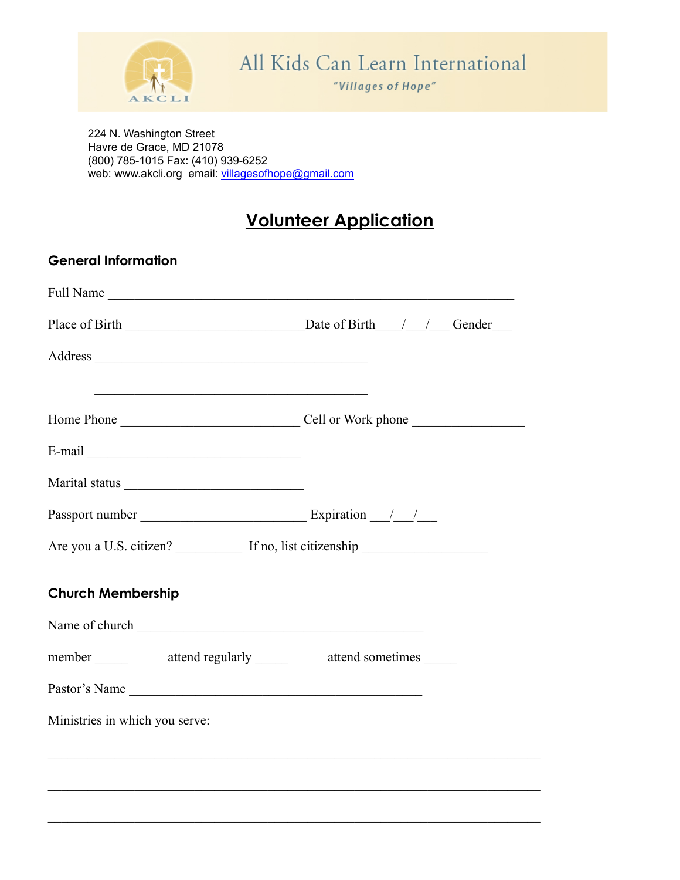

224 N. Washington Street Havre de Grace, MD 21078 (800) 785-1015 Fax: (410) 939-6252 web: www.akcli.org email: [villagesofhope@gmail.com](mailto:villagesofhope@gmail.com)

## **Volunteer Application**

| <b>General Information</b>                                                                                                                                                                                                     |  |
|--------------------------------------------------------------------------------------------------------------------------------------------------------------------------------------------------------------------------------|--|
|                                                                                                                                                                                                                                |  |
|                                                                                                                                                                                                                                |  |
|                                                                                                                                                                                                                                |  |
|                                                                                                                                                                                                                                |  |
| E-mail Land and the same state of the same state of the same state of the same state of the same state of the same state of the same state of the same state of the same state of the same state of the same state of the same |  |
|                                                                                                                                                                                                                                |  |
| Passport number Expiration 1.                                                                                                                                                                                                  |  |
|                                                                                                                                                                                                                                |  |
| <b>Church Membership</b>                                                                                                                                                                                                       |  |
| Name of church <u>contained</u>                                                                                                                                                                                                |  |
| member ______ attend regularly ______ attend sometimes _____                                                                                                                                                                   |  |
| Pastor's Name                                                                                                                                                                                                                  |  |
| Ministries in which you serve:                                                                                                                                                                                                 |  |
|                                                                                                                                                                                                                                |  |
|                                                                                                                                                                                                                                |  |
|                                                                                                                                                                                                                                |  |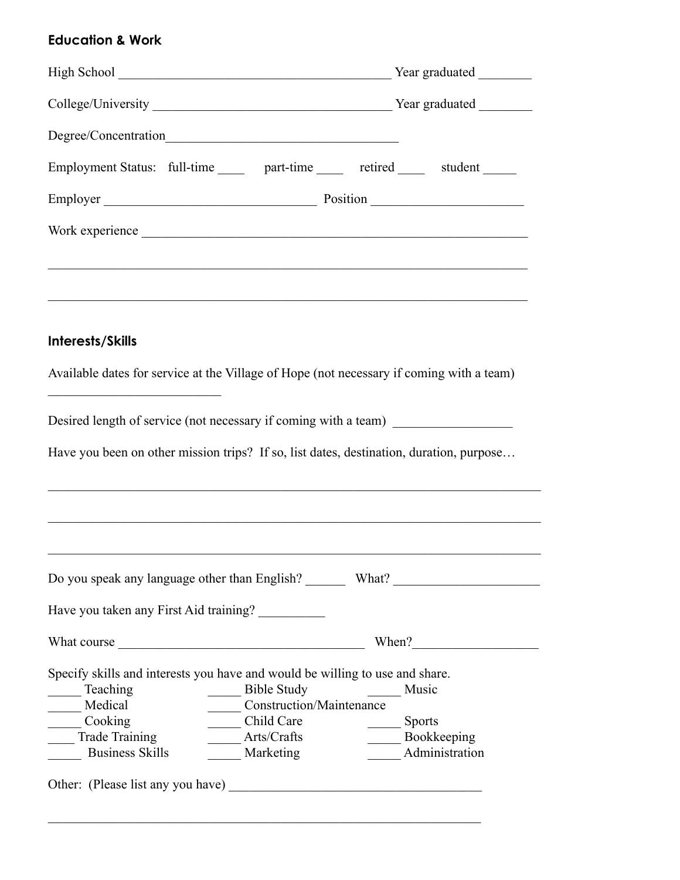## **Education & Work**

|                                                                                                                                                                                                                                      | Employment Status: full-time ______ part-time ______ retired ______ student _____                                                                                                                                         |  |
|--------------------------------------------------------------------------------------------------------------------------------------------------------------------------------------------------------------------------------------|---------------------------------------------------------------------------------------------------------------------------------------------------------------------------------------------------------------------------|--|
|                                                                                                                                                                                                                                      |                                                                                                                                                                                                                           |  |
|                                                                                                                                                                                                                                      | Work experience                                                                                                                                                                                                           |  |
|                                                                                                                                                                                                                                      |                                                                                                                                                                                                                           |  |
| Interests/Skills                                                                                                                                                                                                                     |                                                                                                                                                                                                                           |  |
|                                                                                                                                                                                                                                      | Available dates for service at the Village of Hope (not necessary if coming with a team)                                                                                                                                  |  |
| <u> 1989 - Johann Barn, mars ann an t-Amhair ann an t-Amhair an t-Amhair an t-Amhair an t-Amhair ann an t-Amhair an t-Amhair an t-Amhair an t-Amhair ann an t-Amhair an t-Amhair an t-Amhair an t-Amhair ann an t-Amhair ann an </u> |                                                                                                                                                                                                                           |  |
|                                                                                                                                                                                                                                      | Desired length of service (not necessary if coming with a team)<br>Have you been on other mission trips? If so, list dates, destination, duration, purpose<br><u> 1989 - Johann Stoff, amerikansk politiker (d. 1989)</u> |  |
|                                                                                                                                                                                                                                      |                                                                                                                                                                                                                           |  |
| Have you taken any First Aid training?                                                                                                                                                                                               |                                                                                                                                                                                                                           |  |
|                                                                                                                                                                                                                                      |                                                                                                                                                                                                                           |  |

 $\mathcal{L}_\text{max} = \frac{1}{2} \sum_{i=1}^n \mathcal{L}_\text{max}(\mathbf{z}_i - \mathbf{z}_i)$